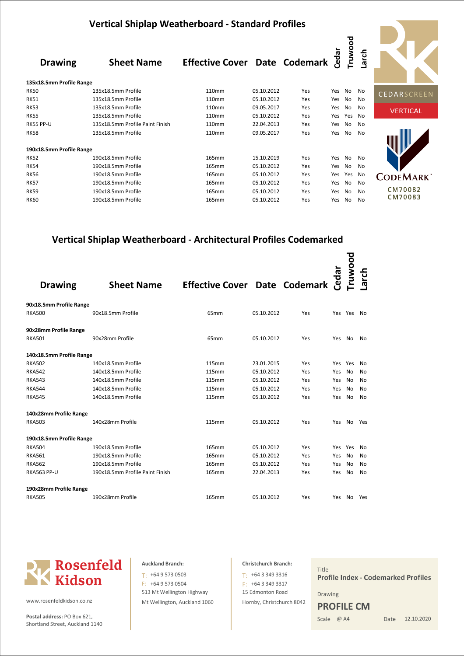|                          | <b>Vertical Shiplap Weatherboard - Standard Profiles</b> |                                      |            |     |       |         |                |                 |
|--------------------------|----------------------------------------------------------|--------------------------------------|------------|-----|-------|---------|----------------|-----------------|
| <b>Drawing</b>           | <b>Sheet Name</b>                                        | <b>Effective Cover Date Codemark</b> |            |     | Cedar | Truwood | Larch          |                 |
| 135x18.5mm Profile Range |                                                          |                                      |            |     |       |         |                |                 |
| <b>RK50</b>              | 135x18.5mm Profile                                       | 110 <sub>mm</sub>                    | 05.10.2012 | Yes | Yes   | No      | No             | CEDARSCREEN     |
| <b>RK51</b>              | 135x18.5mm Profile                                       | 110mm                                | 05.10.2012 | Yes | Yes   | No      | No             |                 |
| <b>RK53</b>              | 135x18.5mm Profile                                       | 110mm                                | 09.05.2017 | Yes | Yes   | No      | No             | <b>VERTICAL</b> |
| <b>RK55</b>              | 135x18.5mm Profile                                       | 110 <sub>mm</sub>                    | 05.10.2012 | Yes | Yes   | Yes     | No             |                 |
| RK55 PP-U                | 135x18.5mm Profile Paint Finish                          | 110mm                                | 22.04.2013 | Yes | Yes   | No      | No             |                 |
| <b>RK58</b>              | 135x18.5mm Profile                                       | 110mm                                | 09.05.2017 | Yes | Yes   | No      | No             |                 |
| 190x18.5mm Profile Range |                                                          |                                      |            |     |       |         |                |                 |
| <b>RK52</b>              | 190x18.5mm Profile                                       | 165mm                                | 15.10.2019 | Yes | Yes   | No      | No             |                 |
| <b>RK54</b>              | 190x18.5mm Profile                                       | 165mm                                | 05.10.2012 | Yes | Yes   | No      | No             |                 |
| <b>RK56</b>              | 190x18.5mm Profile                                       | 165mm                                | 05.10.2012 | Yes | Yes   | Yes     | No             | <b>CODEMARK</b> |
| <b>RK57</b>              | 190x18.5mm Profile                                       | 165mm                                | 05.10.2012 | Yes | Yes   | No      | No             |                 |
| <b>RK59</b>              | 190x18.5mm Profile                                       | 165mm                                | 05.10.2012 | Yes | Yes   | No      | N <sub>o</sub> | CM70082         |
| <b>RK60</b>              | 190x18.5mm Profile                                       | 165mm                                | 05.10.2012 | Yes | Yes   | No      | No             | CM70083         |

# **Vertical Shiplap Weatherboard - Architectural Profiles Codemarked**

| <b>Drawing</b>           | <b>Sheet Name</b>               | <b>Effective Cover Date Codemark</b> |            |     | Cedar   | <b>Fruwood</b> | arch |
|--------------------------|---------------------------------|--------------------------------------|------------|-----|---------|----------------|------|
| 90x18.5mm Profile Range  |                                 |                                      |            |     |         |                |      |
| <b>RKA500</b>            | 90x18.5mm Profile               | 65mm                                 | 05.10.2012 | Yes |         | Yes Yes        | No   |
| 90x28mm Profile Range    |                                 |                                      |            |     |         |                |      |
| <b>RKA501</b>            | 90x28mm Profile                 | 65mm                                 | 05.10.2012 | Yes | Yes No  |                | No   |
| 140x18.5mm Profile Range |                                 |                                      |            |     |         |                |      |
| <b>RKA502</b>            | 140x18.5mm Profile              | <b>115mm</b>                         | 23.01.2015 | Yes | Yes Yes |                | No   |
| <b>RKA542</b>            | 140x18.5mm Profile              | <b>115mm</b>                         | 05.10.2012 | Yes | Yes     | No             | No   |
| <b>RKA543</b>            | 140x18.5mm Profile              | <b>115mm</b>                         | 05.10.2012 | Yes | Yes     | No             | No   |
| <b>RKA544</b>            | 140x18.5mm Profile              | <b>115mm</b>                         | 05.10.2012 | Yes | Yes     | No             | No   |
| <b>RKA545</b>            | 140x18.5mm Profile              | <b>115mm</b>                         | 05.10.2012 | Yes | Yes     | No             | No   |
| 140x28mm Profile Range   |                                 |                                      |            |     |         |                |      |
| <b>RKA503</b>            | 140x28mm Profile                | <b>115mm</b>                         | 05.10.2012 | Yes | Yes     | No.            | Yes  |
| 190x18.5mm Profile Range |                                 |                                      |            |     |         |                |      |
| <b>RKA504</b>            | 190x18.5mm Profile              | 165mm                                | 05.10.2012 | Yes | Yes     | Yes            | No   |
| <b>RKA561</b>            | 190x18.5mm Profile              | 165mm                                | 05.10.2012 | Yes | Yes     | No             | No   |
| <b>RKA562</b>            | 190x18.5mm Profile              | 165mm                                | 05.10.2012 | Yes | Yes     | No             | No   |
| <b>RKA563 PP-U</b>       | 190x18.5mm Profile Paint Finish | 165mm                                | 22.04.2013 | Yes | Yes     | No             | No   |
| 190x28mm Profile Range   |                                 |                                      |            |     |         |                |      |
| <b>RKA505</b>            | 190x28mm Profile                | 165mm                                | 05.10.2012 | Yes | Yes     | No.            | Yes  |



www.rosenfeldkidson.co.nz

Postal address: PO Box 621, Shortland Street, Auckland 1140

513 Mt Wellington Highway Mt Wellington, Auckland 1060 T: +64 9 573 0503 F: +64 9 573 0504

# **Christchurch Branch:** 15 Edmonton Road Hornby, Christchurch 8042  $T: +6433493316$ F: +64 3 349 3317

Title Drawing Scale @ A4 **Profile Index - Codemarked Profiles PROFILE CM**

Date 12.10.2020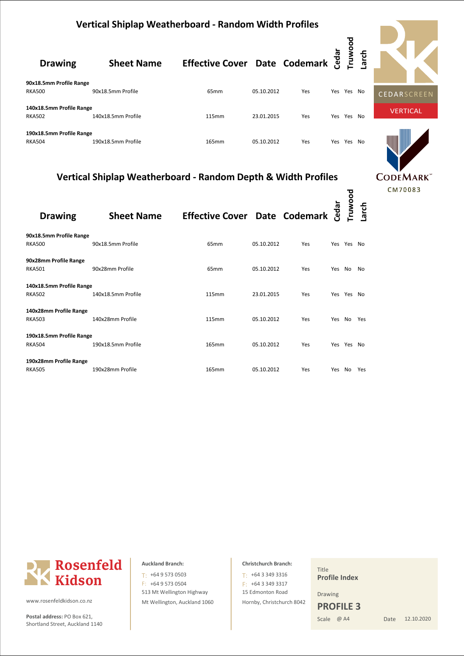|                                           | <b>Vertical Shiplap Weatherboard - Random Width Profiles</b> |                                      |            |     |       |        |      |                    |  |  |  |
|-------------------------------------------|--------------------------------------------------------------|--------------------------------------|------------|-----|-------|--------|------|--------------------|--|--|--|
| <b>Drawing</b>                            | <b>Sheet Name</b>                                            | <b>Effective Cover Date Codemark</b> |            |     | Cedar | poown. | arch |                    |  |  |  |
| 90x18.5mm Profile Range                   |                                                              |                                      |            |     |       |        |      |                    |  |  |  |
| <b>RKA500</b>                             | 90x18.5mm Profile                                            | 65 <sub>mm</sub>                     | 05.10.2012 | Yes | Yes   | Yes No |      | <b>CEDARSCREEN</b> |  |  |  |
| 140x18.5mm Profile Range                  |                                                              |                                      |            |     |       |        |      | <b>VERTICAL</b>    |  |  |  |
| <b>RKA502</b>                             | 140x18.5mm Profile                                           | 115mm                                | 23.01.2015 | Yes | Yes   | Yes    | No   |                    |  |  |  |
| 190x18.5mm Profile Range<br><b>RKA504</b> | 190x18.5mm Profile                                           | 165mm                                | 05.10.2012 | Yes | Yes   | Yes    | No.  |                    |  |  |  |

# **Vertical Shiplap Weatherboard - Random Depth & Width Profiles**

| <b>Drawing</b>           | <b>Sheet Name</b>  | <b>Effective Cover Date Codemark</b> |            |     | Cedar  | Truwood<br>Larch |     |
|--------------------------|--------------------|--------------------------------------|------------|-----|--------|------------------|-----|
| 90x18.5mm Profile Range  |                    |                                      |            |     |        |                  |     |
| <b>RKA500</b>            | 90x18.5mm Profile  | 65 <sub>mm</sub>                     | 05.10.2012 | Yes |        | Yes Yes No       |     |
| 90x28mm Profile Range    |                    |                                      |            |     |        |                  |     |
| <b>RKA501</b>            | 90x28mm Profile    | 65mm                                 | 05.10.2012 | Yes | Yes No |                  | No  |
| 140x18.5mm Profile Range |                    |                                      |            |     |        |                  |     |
| <b>RKA502</b>            | 140x18.5mm Profile | <b>115mm</b>                         | 23.01.2015 | Yes |        | Yes Yes No       |     |
| 140x28mm Profile Range   |                    |                                      |            |     |        |                  |     |
| <b>RKA503</b>            | 140x28mm Profile   | <b>115mm</b>                         | 05.10.2012 | Yes |        | Yes No Yes       |     |
| 190x18.5mm Profile Range |                    |                                      |            |     |        |                  |     |
| <b>RKA504</b>            | 190x18.5mm Profile | 165mm                                | 05.10.2012 | Yes |        | Yes Yes No       |     |
| 190x28mm Profile Range   |                    |                                      |            |     |        |                  |     |
| <b>RKA505</b>            | 190x28mm Profile   | 165mm                                | 05.10.2012 | Yes | Yes No |                  | Yes |



www.rosenfeldkidson.co.nz

Postal address: PO Box 621, Shortland Street, Auckland 1140

513 Mt Wellington Highway Mt Wellington, Auckland 1060 T: +64 9 573 0503 F: +64 9 573 0504

## **Christchurch Branch:**

15 Edmonton Road Hornby, Christchurch 8042  $T: +6433493316$ F: +64 3 349 3317

Title **Profile Index**

Drawing **PROFILE 3**

Scale @ A4

Date 12.10.2020

**CODEMARK**<sup>\*\*</sup> CM70083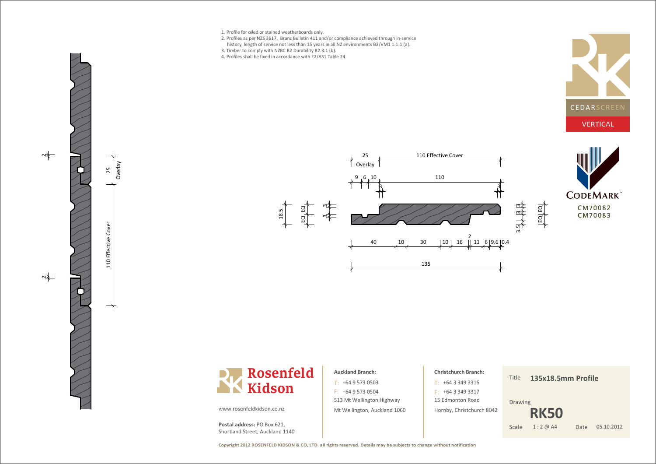- 1. Profile for oiled or stained weatherboards only.
- 2. Profiles as per NZS 3617, Branz Bulletin 411 and/or compliance achieved through in-servicehistory, length of service not less than 15 years in all NZ environments B2/VM1 1.1.1 (a).
- 3. Timber to comply with NZBC B2 Durability B2.3.1 (b).
- 4. Profiles shall be fixed in accordance with E2/AS1 Table 24.









 $\Rightarrow$ 

ò ع<br>< rla y 5

 $\overline{\phantom{0}}$ ុ m<br>H **Effective** ں<br>ہ o v e ە

 $\Rightarrow$ 

### www.rosenfeldkidson.co.nz

**Postal address:** PO Box 621, Shortland Street, Auckland 1140

# $T: +6495730503$ **Auckland Branch:**

513 Mt Wellington Highway Mt Wellington, Auckland 1060 $F: +6495730504$ 

# **Christchurch Branch:**+64 3 349 3316T: $F: +6433493317$

15 Edmonton Road Hornby, Christchurch 8042 Title**135x18.5mm Profile**

Drawing

**RK50**

Date 05.10.2012 Scale 1 : 2 @ A4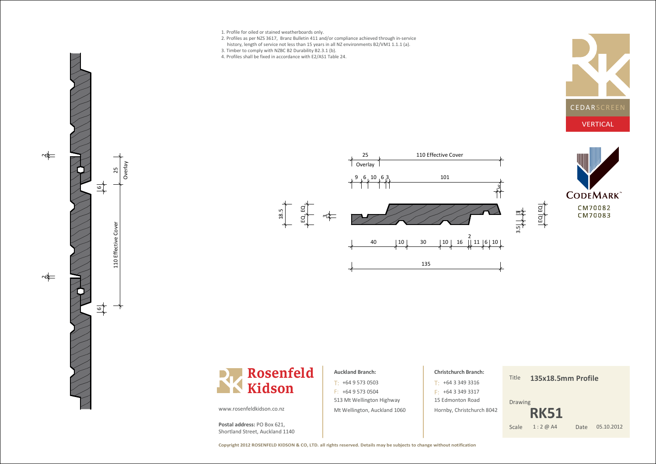1. Profile for oiled or stained weatherboards only.

Overla y25

 $\overrightarrow{e}$ 

 $\frac{6}{1}$ 

 $\Rightarrow$ 

 $\sim$ 

110 m<br>E f f e c t i ve ပ<br>စ o v e ە

- 2. Profiles as per NZS 3617, Branz Bulletin 411 and/or compliance achieved through in-servicehistory, length of service not less than 15 years in all NZ environments B2/VM1 1.1.1 (a).
- 3. Timber to comply with NZBC B2 Durability B2.3.1 (b).
- 4. Profiles shall be fixed in accordance with E2/AS1 Table 24.









### $T: +6495730503$

513 Mt Wellington Highway Mt Wellington, Auckland 1060 $F: +6495730504$ 

**Auckland Branch:**

## **Christchurch Branch:**

15 Edmonton Road Hornby, Christchurch 8042

+64 3 349 3316T: $F: +6433493317$ 

Title**135x18.5mm Profile**

Drawing

Date 05.10.2012 **RK51**Scale 1 : 2 @ A4

www.rosenfeldkidson.co.nz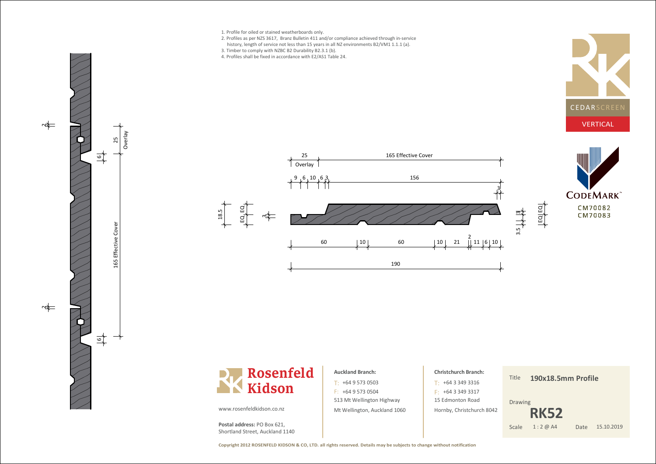

- 2. Profiles as per NZS 3617, Branz Bulletin 411 and/or compliance achieved through in-servicehistory, length of service not less than 15 years in all NZ environments B2/VM1 1.1.1 (a).
- 3. Timber to comply with NZBC B2 Durability B2.3.1 (b).
- 4. Profiles shall be fixed in accordance with E2/AS1 Table 24.



**CODEMARK** CM70082 CM70083







513 Mt Wellington Highway Mt Wellington, Auckland 1060 $F: +6495730504$ 

 $T: +6495730503$ 

**Auckland Branch:**

## **Christchurch Branch:**

15 Edmonton Road Hornby, Christchurch 8042

+64 3 349 3316T: $F: +6433493317$ 

Title**190x18.5mm Profile**

Drawing

Date 15.10.2019 **RK52**Scale 1 : 2 @ A4

www.rosenfeldkidson.co.nz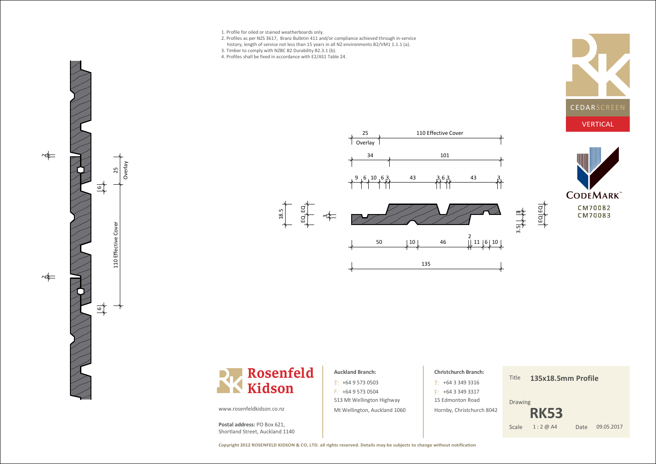- 1. Profile for oiled or stained weatherboards only.
- 2. Profiles as per NZS 3617, Branz Bulletin 411 and/or compliance achieved through in-service
- history, length of service not less than 15 years in all NZ environments B2/VM1 1.1.1 (a).
- 3. Timber to comply with NZBC B2 Durability B2.3.1 (b).
- 4. Profiles shall be fixed in accordance with E2/AS1 Table 24.





**CODEMARK** CM70082 CM70083



# **Auckland Branch:**

513 Mt Wellington Highway Mt Wellington, Auckland 1060 $T: +6495730503$  $F: +6495730504$ 

# **Christchurch Branch:**

15 Edmonton Road Hornby, Christchurch 8042+64 3 349 3316T: $F: +6433493317$ 

### Title**135x18.5mm Profile**

ـــ  $\Xi$  $\overline{ }$  $\Xi$ 

Drawing

 **RK53**Scale 1 : 2 @ A4

Date 09.05.2017

www.rosenfeldkidson.co.nz

Overla y25

<u>أما</u>

 $\frac{6}{1}$ 

 $\Rightarrow$ 

 $\Rightarrow$ 

110 m<br>H **Effective** ပ<br>စ o v e ە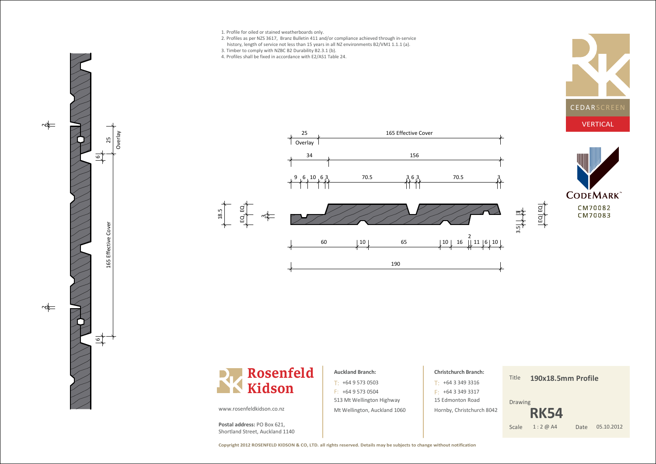

ò ع<br>< rla y 5

 $\frac{6}{1}$ 

 $\mathrel{\blacksquare}$ 69 سا<br>س f f e ective ပ<br>စ o v e ە

 $\overrightarrow{5}$ 

 $\Rightarrow$ 

 $\Rightarrow$ 

- 2. Profiles as per NZS 3617, Branz Bulletin 411 and/or compliance achieved through in-servicehistory, length of service not less than 15 years in all NZ environments B2/VM1 1.1.1 (a).
- 3. Timber to comply with NZBC B2 Durability B2.3.1 (b).
- 
- 4. Profiles shall be fixed in accordance with E2/AS1 Table 24.









### **Auckland Branch:**

513 Mt Wellington Highway Mt Wellington, Auckland 1060 $T: +6495730503$  $F: +6495730504$ 

# **Christchurch Branch:**15 Edmonton Road Hornby, Christchurch 8042+64 3 349 3316T: $F: +6433493317$

### Title**190x18.5mm Profile**

 $\overline{ }$  $\alpha$  $\overline{ }$  $\Xi$ 

Drawing

 **RK54**Scale 1 : 2 @ A4

Date 05.10.2012

www.rosenfeldkidson.co.nz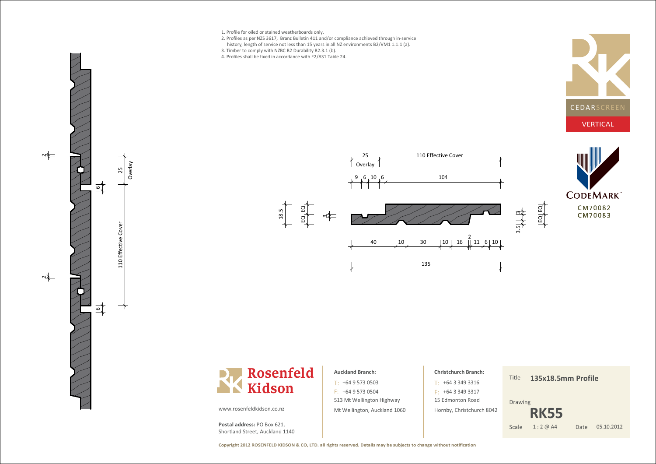- 1. Profile for oiled or stained weatherboards only.
- 2. Profiles as per NZS 3617, Branz Bulletin 411 and/or compliance achieved through in-servicehistory, length of service not less than 15 years in all NZ environments B2/VM1 1.1.1 (a).
- 3. Timber to comply with NZBC B2 Durability B2.3.1 (b).
- 4. Profiles shall be fixed in accordance with E2/AS1 Table 24.









Overla y25

 $\overline{6}$ 

 $\Rightarrow$ 

 $\sim$ 

110 m<br>E f f e c t i ve ပ<br>စ o v e ە

www.rosenfeldkidson.co.nz

**Postal address:** PO Box 621, Shortland Street, Auckland 1140

**Rosenfeld**

**Kidson**

# $T: +6495730503$ **Auckland Branch:**

513 Mt Wellington Highway Mt Wellington, Auckland 1060 $F: +6495730504$ 

# **Christchurch Branch:**

15 Edmonton Road Hornby, Christchurch 8042

+64 3 349 3316T: $F: +6433493317$ 

Title**135x18.5mm Profile**

Drawing

Date 05.10.2012 **RK55**Scale 1 : 2 @ A4

**Copyright 2012 ROSENFELD KIDSON & CO, LTD. all rights reserved. Details may be subjects to change without notification**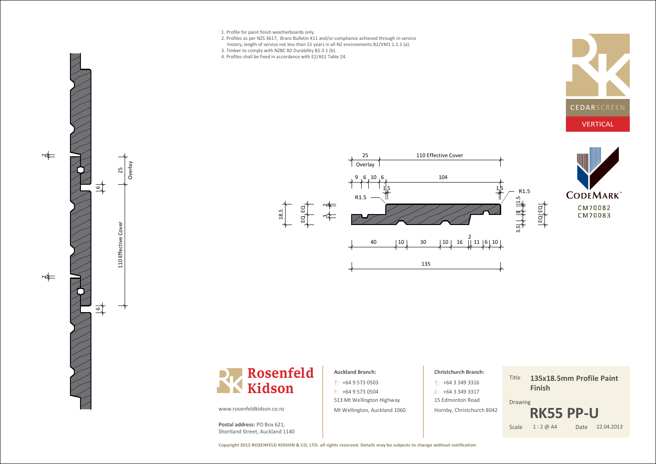1. Profile for paint finish weatherboards only.

Overla y5

 $\overline{6}$ 

 $\Rightarrow$ 

 $\sim$ 

 $\frac{6}{1}$ 

110 m<br>H **Effective** ں<br>ہ o v e ە

- 2. Profiles as per NZS 3617, Branz Bulletin 411 and/or compliance achieved through in-servicehistory, length of service not less than 15 years in all NZ environments B2/VM1 1.1.1 (a).
- 3. Timber to comply with NZBC B2 Durability B2.3.1 (b).
- 4. Profiles shall be fixed in accordance with E2/AS1 Table 24.









### **Auckland Branch:**

513 Mt Wellington Highway Mt Wellington, Auckland 1060 $T: +6495730503$  $F: +6495730504$ 

# **Christchurch Branch:**

15 Edmonton Road Hornby, Christchurch 8042+64 3 349 3316T: $F: +6433493317$ 

### Title**135x18.5mm Profile PaintFinish**

Drawing



www.rosenfeldkidson.co.nz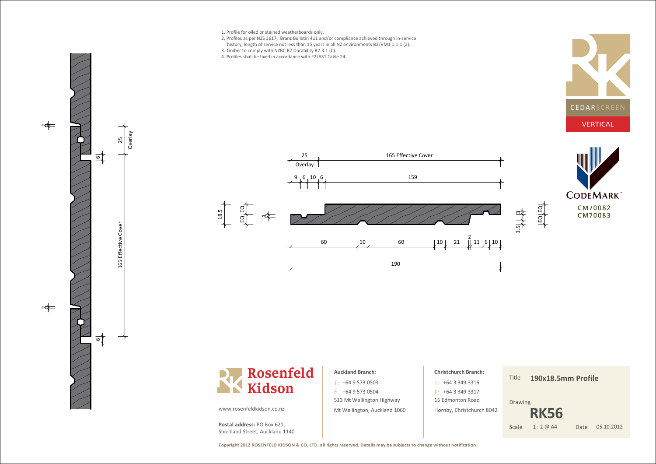



### **Auckland Branch:**

513 Mt Wellington Highway Mt Wellington, Auckland 1060 $T: +6495730503$  $F: +6495730504$ 

# **Christchurch Branch:**15 Edmonton Road Hornby, Christchurch 8042+64 3 349 3316T: $F: +6433493317$

## Title

**190x18.5mm Profile**

Drawing

Date 05.10.2012 **RK56**Scale 1 : 2 @ A4

www.rosenfeldkidson.co.nz

**Postal address:** PO Box 621, Shortland Street, Auckland 1140

 $\Rightarrow$ 

 $\Rightarrow$ 

 $\frac{6}{1}$ 

 $\frac{1}{\sqrt{2}}$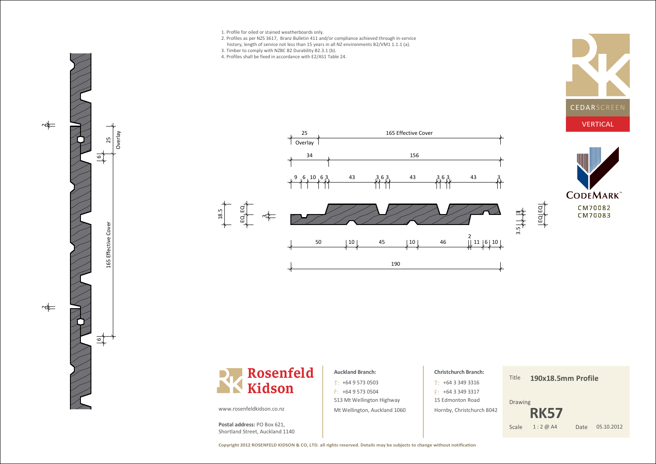

- 2. Profiles as per NZS 3617, Branz Bulletin 411 and/or compliance achieved through in-servicehistory, length of service not less than 15 years in all NZ environments B2/VM1 1.1.1 (a).
- 3. Timber to comply with NZBC B2 Durability B2.3.1 (b).
- 4. Profiles shall be fixed in accordance with E2/AS1 Table 24.





190





### **Auckland Branch:**

513 Mt Wellington Highway Mt Wellington, Auckland 1060 $T: +6495730503$  $F: +6495730504$ 

| <b>Christchurch Branch:</b> |
|-----------------------------|
| $T· +6433493316$            |
| $F + 6433493317$            |
| 15 Edmonton Road            |
| Hornby, Christchurch 8042   |

Title**190x18.5mm Profile**

Drawing

Date 05.10.2012 **RK57**Scale 1 : 2 @ A4

www.rosenfeldkidson.co.nz

 $EQ$ <sub>L</sub> $EQ$ <sub>L</sub>

 $\frac{8}{11}$ .

ò e<br>2 rla y 25

6

 $\sim$ 

 $\Rightarrow$ 

 $\overline{\phantom{0}}$ u<br>15 **Effective** ں<br>ہ o v e ە

 $\frac{1}{2}$ 

ო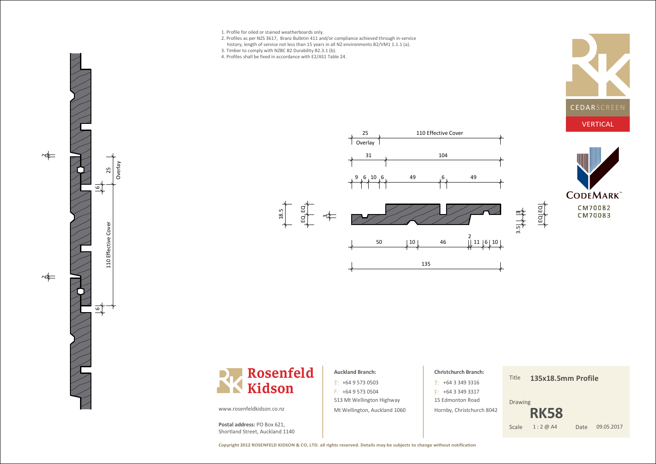- 
- 2. Profiles as per NZS 3617, Branz Bulletin 411 and/or compliance achieved through in-servicehistory, length of service not less than 15 years in all NZ environments B2/VM1 1.1.1 (a).
- 
- 3. Timber to comply with NZBC B2 Durability B2.3.1 (b).
- 4. Profiles shall be fixed in accordance with E2/AS1 Table 24.









Ove은 y25

 $\overline{6}$ 

 $\Rightarrow$ 

 $\Rightarrow$ 

 $\overline{\phantom{0}}$ u<br>9 **Effective** ں<br>ہ o v e ە

 $\frac{6}{1}$ 

### **Auckland Branch:**

513 Mt Wellington Highway Mt Wellington, Auckland 1060 $T: +6495730503$  $F: +6495730504$ 

# **Christchurch Branch:**15 Edmonton Road Hornby, Christchurch 8042+64 3 349 3316T: $F: +6433493317$

Title**135x18.5mm Profile**

 $\overline{ }$  $\Xi$ 

Drawing

 **RK58**Scale 1:2 @ A4

## Date 09.05.2017

www.rosenfeldkidson.co.nz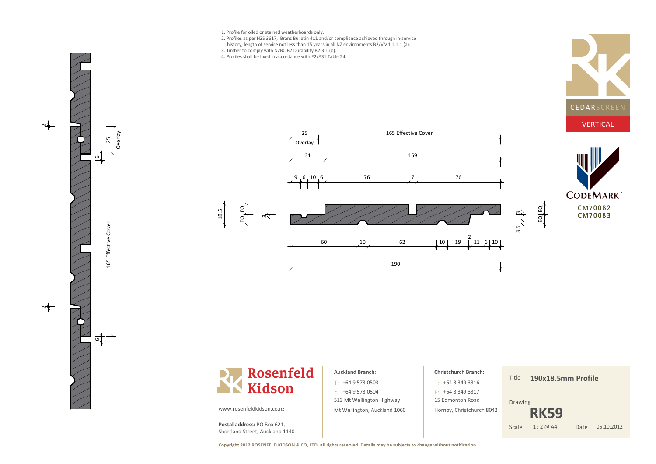

- 2. Profiles as per NZS 3617, Branz Bulletin 411 and/or compliance achieved through in-servicehistory, length of service not less than 15 years in all NZ environments B2/VM1 1.1.1 (a).
- 

1 Overlav

31

- 3. Timber to comply with NZBC B2 Durability B2.3.1 (b).
- 4. Profiles shall be fixed in accordance with E2/AS1 Table 24.







ო

 $E_{\nu}E_{\nu}$ 

 $\frac{8}{11}$ .

### **Auckland Branch:**

513 Mt Wellington Highway Mt Wellington, Auckland 1060 $T: +6495730503$  $F: +6495730504$ 

9 6 10 6 76 76 76 76

25 165 Effective Cover

 $1\qquad \qquad \qquad 159$ 

<sup>60</sup> <sup>10</sup> <sup>62</sup> <sup>10</sup> <sup>19</sup>

190

# **Christchurch Branch:**+64 3 349 3316T: $F: +6433493317$

15 Edmonton Road Hornby, Christchurch 8042

2<br>|| 11 |6| 10

Title**190x18.5mm Profile**

Drawing

 $\overline{3}$ .<br>თ

 $\overline{ }$  $\alpha$  $\overline{ }$  $\Xi$ 

Date 05.10.2012 **RK59**Scale 1:2 @ A4



ò ع<br>< rla y 5

 $\overline{z}$ 

 $\Rightarrow$ 

 $\Rightarrow$ 

www.rosenfeldkidson.co.nz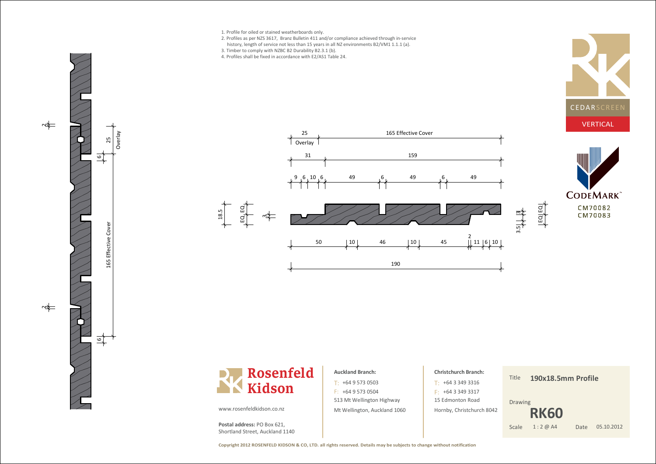

ò e rla y 5

 $\overline{6}$ 

 $\Rightarrow$ 

 $\Rightarrow$ 

 $\overline{\phantom{0}}$ u<br>15 **Effective** ں<br>ہ o v e ە

- 2. Profiles as per NZS 3617, Branz Bulletin 411 and/or compliance achieved through in-servicehistory, length of service not less than 15 years in all NZ environments B2/VM1 1.1.1 (a).
- 3. Timber to comply with NZBC B2 Durability B2.3.1 (b).
- 4. Profiles shall be fixed in accordance with E2/AS1 Table 24.









### **Auckland Branch:**

513 Mt Wellington Highway Mt Wellington, Auckland 1060 $T: +6495730503$  $F: +6495730504$ 

```
Christchurch Branch:15 Edmonton Road

Hornby, Christchurch 8042+64 3 349 3316T:F: +6433493317
```
Title**190x18.5mm Profile**

Drawing

Date 05.10.2012 **RK60**Scale 1:2 @ A4

www.rosenfeldkidson.co.nz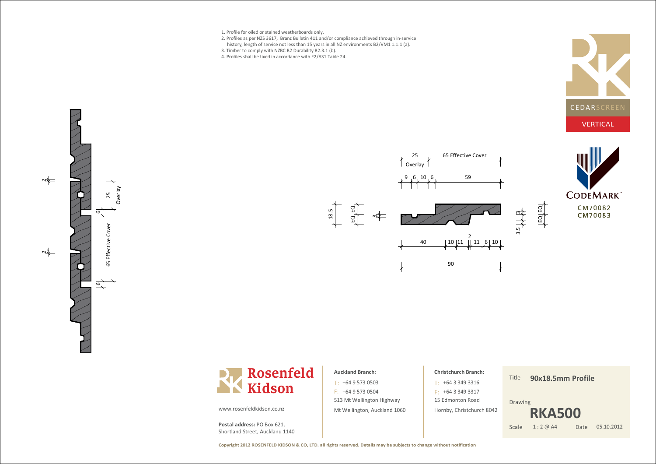- 1. Profile for oiled or stained weatherboards only.
- 2. Profiles as per NZS 3617, Branz Bulletin 411 and/or compliance achieved through in-service
- history, length of service not less than 15 years in all NZ environments B2/VM1 1.1.1 (a).
- 3. Timber to comply with NZBC B2 Durability B2.3.1 (b).
- 4. Profiles shall be fixed in accordance with E2/AS1 Table 24.











## **Auckland Branch:**

513 Mt Wellington Highway Mt Wellington, Auckland 1060 $T: +6495730503$  $F: +6495730504$ 

# **Christchurch Branch:**+64 3 349 3316T:

15 Edmonton Road Hornby, Christchurch 8042 $F: +6433493317$ 

### Title**90x18.5mm Profile**

Drawing



www.rosenfeldkidson.co.nz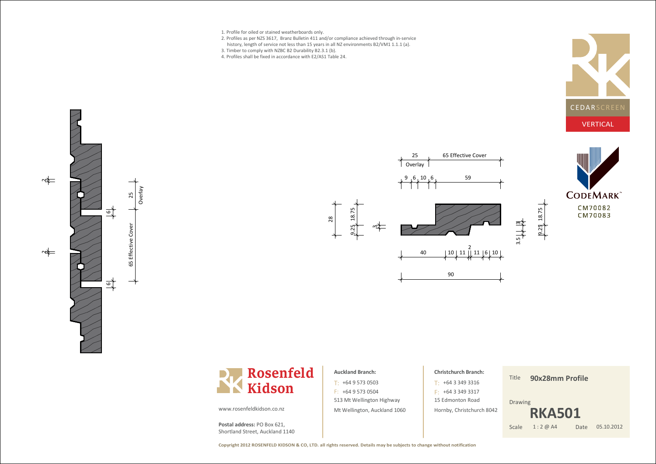- 1. Profile for oiled or stained weatherboards only.
- 2. Profiles as per NZS 3617, Branz Bulletin 411 and/or compliance achieved through in-service
- history, length of service not less than 15 years in all NZ environments B2/VM1 1.1.1 (a).
- 3. Timber to comply with NZBC B2 Durability B2.3.1 (b).
- 4. Profiles shall be fixed in accordance with E2/AS1 Table 24.











### www.rosenfeldkidson.co.nz

**Postal address:** PO Box 621, Shortland Street, Auckland 1140

## **Auckland Branch:**

513 Mt Wellington Highway Mt Wellington, Auckland 1060 $T: +6495730503$  $F: +6495730504$ 

# **Christchurch Branch:**+64 3 349 3316T: $F: +6433493317$

15 Edmonton Road Hornby, Christchurch 8042

### Title**90x28mm Profile**

 $\overline{9}$ . 25  $\overline{a}$  $\frac{8}{11}$ . 75

Drawing



**Copyright 2012 ROSENFELD KIDSON & CO, LTD. all rights reserved. Details may be subjects to change without notification**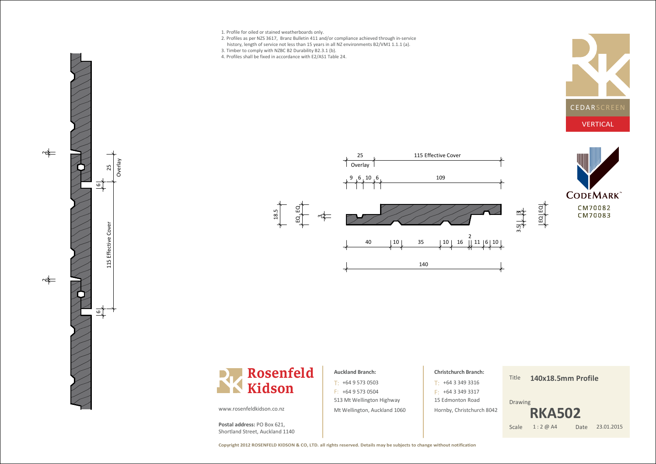- 1. Profile for oiled or stained weatherboards only.
- 2. Profiles as per NZS 3617, Branz Bulletin 411 and/or compliance achieved through in-servicehistory, length of service not less than 15 years in all NZ environments B2/VM1 1.1.1 (a).
- 3. Timber to comply with NZBC B2 Durability B2.3.1 (b).
- 4. Profiles shall be fixed in accordance with E2/AS1 Table 24.









### **Auckland Branch:**

513 Mt Wellington Highway Mt Wellington, Auckland 1060 $T: +6495730503$  $F: +6495730504$ 

# **Christchurch Branch:**15 Edmonton Road Hornby, Christchurch 8042+64 3 349 3316T: $F: +6433493317$

### Title**140x18.5mm Profile**

Drawing



www.rosenfeldkidson.co.nz

Ove은 y53

 $\frac{6}{1}$ 

ত্ৰী

 $\Rightarrow$ 

 $\Rightarrow$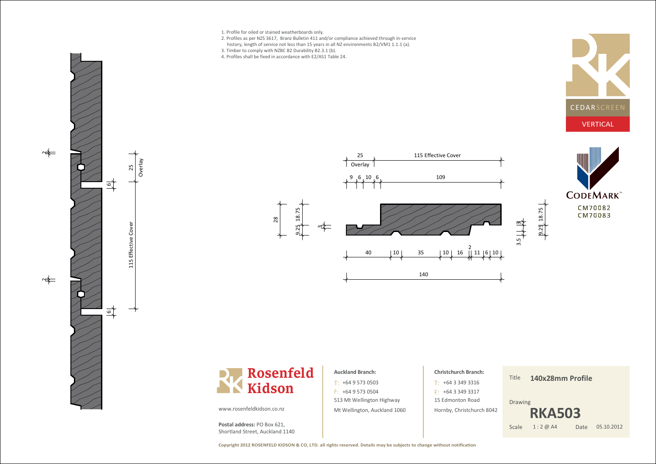

- 2. Profiles as per NZS 3617, Branz Bulletin 411 and/or compliance achieved through in-servicehistory, length of service not less than 15 years in all NZ environments B2/VM1 1.1.1 (a).
- 3. Timber to comply with NZBC B2 Durability B2.3.1 (b).
- 4. Profiles shall be fixed in accordance with E2/AS1 Table 24.











### www.rosenfeldkidson.co.nz

**Postal address:** PO Box 621, Shortland Street, Auckland 1140

# 513 Mt Wellington Highway Mt Wellington, Auckland 1060 $T: +6495730503$  $F: +6495730504$ **Auckland Branch:**

# **Christchurch Branch:**15 Edmonton Road Hornby, Christchurch 8042+64 3 349 3316T: $F: +6433493317$

### Title**140x28mm Profile**

18.75

9.25

Drawing



**Copyright 2012 ROSENFELD KIDSON & CO, LTD. all rights reserved. Details may be subjects to change without notification**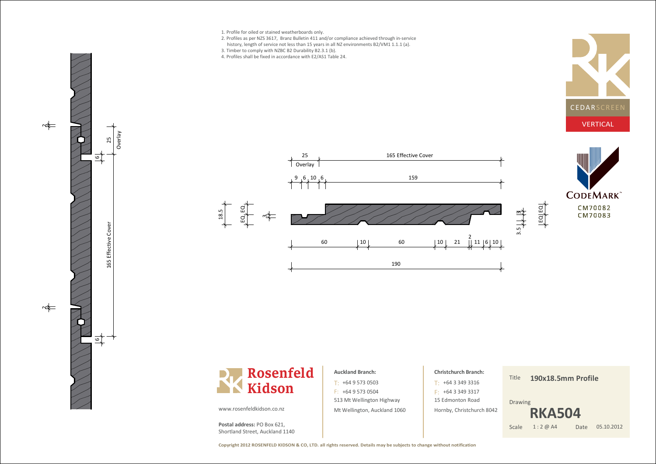

Ove은 y53

 $\Rightarrow$ 

 $\Rightarrow$ 

 $\mathbf \tau$ 65 Ef f e ective ں<br>ہ o v e ە

 $\overline{6}$ 

- 2. Profiles as per NZS 3617, Branz Bulletin 411 and/or compliance achieved through in-servicehistory, length of service not less than 15 years in all NZ environments B2/VM1 1.1.1 (a).
- 3. Timber to comply with NZBC B2 Durability B2.3.1 (b).
- 4. Profiles shall be fixed in accordance with E2/AS1 Table 24.









## **Auckland Branch:**

513 Mt Wellington Highway Mt Wellington, Auckland 1060 $T: +6495730503$  $F: +6495730504$ 

# **Christchurch Branch:**15 Edmonton Road Hornby, Christchurch 8042+64 3 349 3316T: $F: +6433493317$

### Title**190x18.5mm Profile**

 $\overline{ }$ 

Drawing



www.rosenfeldkidson.co.nz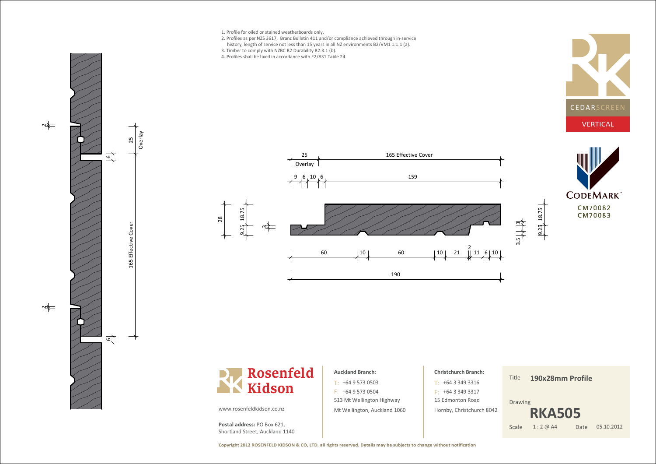

www.rosenfeldkidson.co.nz

**Postal address:** PO Box 621, Shortland Street, Auckland 1140

Mt Wellington, Auckland 1060

Date 05.10.2012

**RKA505**

Scale 1:2 @ A4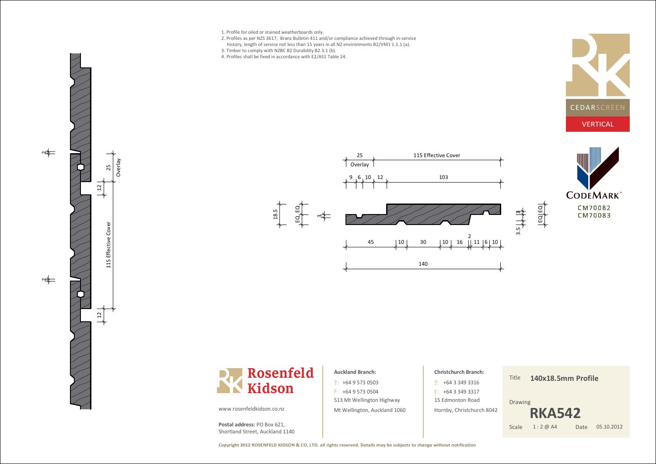- 1. Profile for oiled or stained weatherboards only.
- 2. Profiles as per NZS 3617, Branz Bulletin 411 and/or compliance achieved through in-servicehistory, length of service not less than 15 years in all NZ environments B2/VM1 1.1.1 (a).
- 3. Timber to comply with NZBC B2 Durability B2.3.1 (b).
- 4. Profiles shall be fixed in accordance with E2/AS1 Table 24.









### **Auckland Branch:**

513 Mt Wellington Highway Mt Wellington, Auckland 1060 $T: +6495730503$  $F: +6495730504$ 

# **Christchurch Branch:**15 Edmonton Road Hornby, Christchurch 8042+64 3 349 3316T: $F: +6433493317$

### Title**140x18.5mm Profile**



www.rosenfeldkidson.co.nz

Overla y25

 $\approx$ 

 $\frac{2}{\sqrt{2}}$ 

 $\Rightarrow$ 

 $\overline{\phantom{0}}$ u<br>H **Effective** ں<br>ہ o v e ە

 $\approx$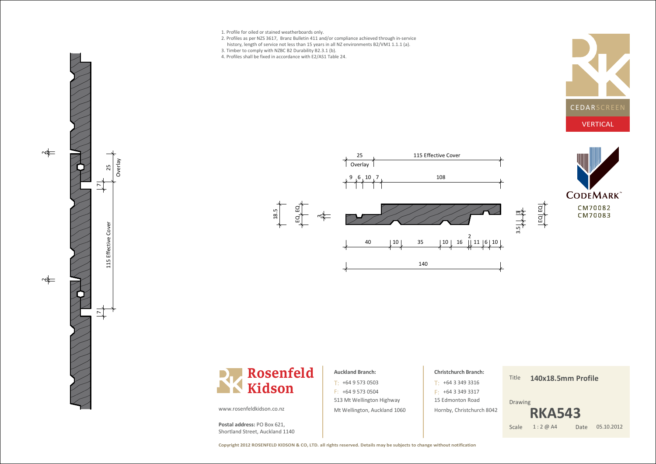1. Profile for oiled or stained weatherboards only.

 $\Rightarrow$ 

Ove은 y25

 $\mathbf$ u<br>H f f e ective ပ<br>စ o v e r.

 $\overline{2}$ 

 $\Rightarrow$ 

- 2. Profiles as per NZS 3617, Branz Bulletin 411 and/or compliance achieved through in-servicehistory, length of service not less than 15 years in all NZ environments B2/VM1 1.1.1 (a).
- 3. Timber to comply with NZBC B2 Durability B2.3.1 (b).
- 4. Profiles shall be fixed in accordance with E2/AS1 Table 24.









### **Auckland Branch:**

513 Mt Wellington Highway Mt Wellington, Auckland 1060 $T: +6495730503$  $F: +6495730504$ 

# **Christchurch Branch:**

15 Edmonton Road Hornby, Christchurch 8042

+64 3 349 3316T: $F: +6433493317$ 

Title**140x18.5mm Profile**

Drawing



www.rosenfeldkidson.co.nz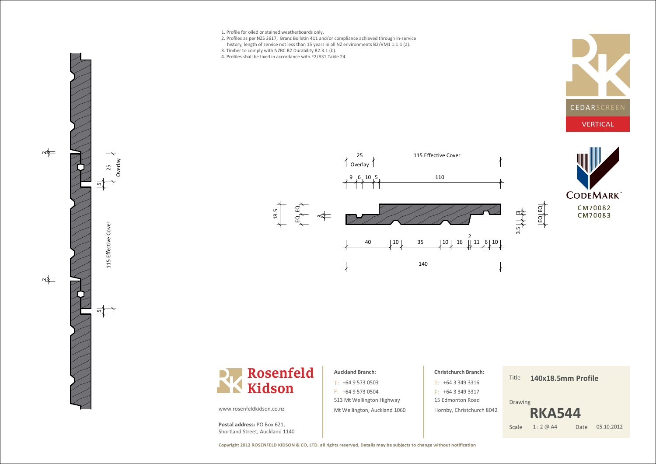1. Profile for oiled or stained weatherboards only.

 $\Rightarrow$ 

 $\Rightarrow$ 

115 Effective Cover

L5 Effective

Cover

5

Ovrla y25

 $\overline{5}$ 

- 2. Profiles as per NZS 3617, Branz Bulletin 411 and/or compliance achieved through in-servicehistory, length of service not less than 15 years in all NZ environments B2/VM1 1.1.1 (a).
- 3. Timber to comply with NZBC B2 Durability B2.3.1 (b).
- 4. Profiles shall be fixed in accordance with E2/AS1 Table 24.









### **Auckland Branch:**

513 Mt Wellington Highway Mt Wellington, Auckland 1060 $T: +6495730503$  $F: +6495730504$ 

# **Christchurch Branch:**15 Edmonton Road Hornby, Christchurch 8042+64 3 349 3316T: $F: +6433493317$

### Title**140x18.5mm Profile**

Drawing



www.rosenfeldkidson.co.nz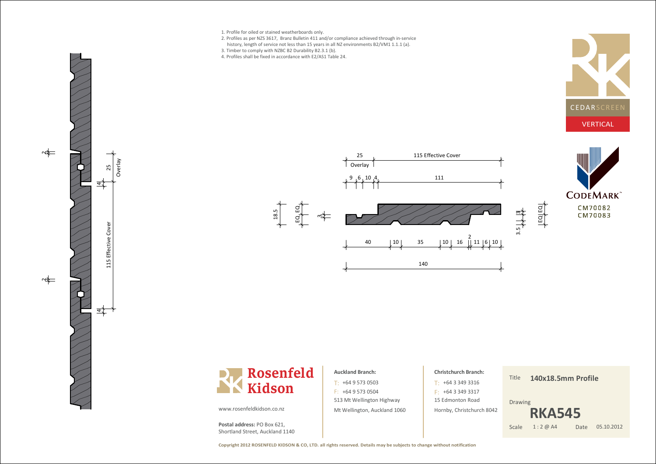- 1. Profile for oiled or stained weatherboards only.
- 2. Profiles as per NZS 3617, Branz Bulletin 411 and/or compliance achieved through in-servicehistory, length of service not less than 15 years in all NZ environments B2/VM1 1.1.1 (a).
- 3. Timber to comply with NZBC B2 Durability B2.3.1 (b).
- 4. Profiles shall be fixed in accordance with E2/AS1 Table 24.









### **Auckland Branch:**

513 Mt Wellington Highway Mt Wellington, Auckland 1060 $T: +6495730503$  $F: +6495730504$ 

# **Christchurch Branch:**15 Edmonton Road Hornby, Christchurch 8042+64 3 349 3316T: $F: +6433493317$

### Title**140x18.5mm Profile**

Drawing



www.rosenfeldkidson.co.nz

Ovrla y $\zeta$ 

4

115 Effective Cover

L5 Effective Cove

 $\frac{d}{dt}$ 

 $\frac{2}{2}$ 

 $\Rightarrow$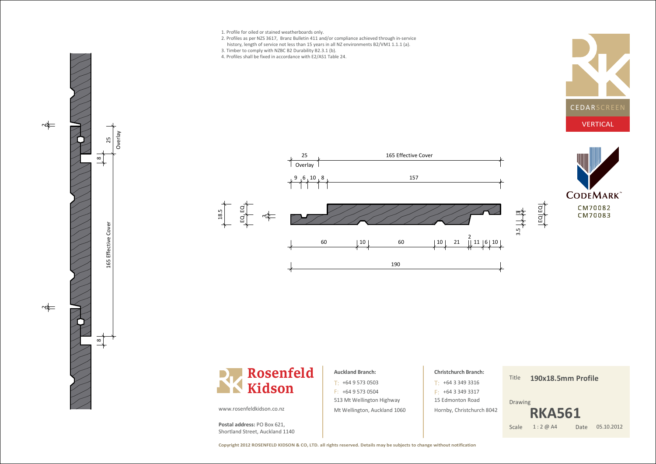

- 2. Profiles as per NZS 3617, Branz Bulletin 411 and/or compliance achieved through in-servicehistory, length of service not less than 15 years in all NZ environments B2/VM1 1.1.1 (a).
- 3. Timber to comply with NZBC B2 Durability B2.3.1 (b).
- 4. Profiles shall be fixed in accordance with E2/AS1 Table 24.







60 | 10 | 10 | 10 | 21

190





### **Auckland Branch:**

513 Mt Wellington Highway Mt Wellington, Auckland 1060 $T: +6495730503$  $F: +6495730504$ 

# **Christchurch Branch:**15 Edmonton Road +64 3 349 3316T: $F: +6433493317$

Hornby, Christchurch 8042

2<br>|| 11 |6| 10

Title**190x18.5mm Profile**

Drawing

ო

 $\overline{ }$  $\Xi$ ـــ  $\Xi$ 



www.rosenfeldkidson.co.nz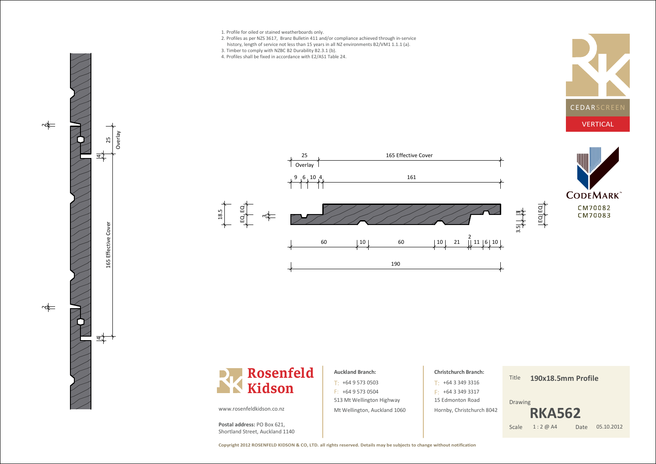

- 2. Profiles as per NZS 3617, Branz Bulletin 411 and/or compliance achieved through in-servicehistory, length of service not less than 15 years in all NZ environments B2/VM1 1.1.1 (a).
- 3. Timber to comply with NZBC B2 Durability B2.3.1 (b).
- 4. Profiles shall be fixed in accordance with E2/AS1 Table 24.







Overla y25

<u>व र</u>

 $\Rightarrow$ 



25 Letter Cover 165 Effective Cover



## **Auckland Branch:**

513 Mt Wellington Highway Mt Wellington, Auckland 1060 $T: +6495730503$  $F: +6495730504$ 

# **Christchurch Branch:**+64 3 349 3316T:

15 Edmonton Road Hornby, Christchurch 8042

 $F: +6433493317$ 

Title**190x18.5mm Profile**

Drawing



www.rosenfeldkidson.co.nz